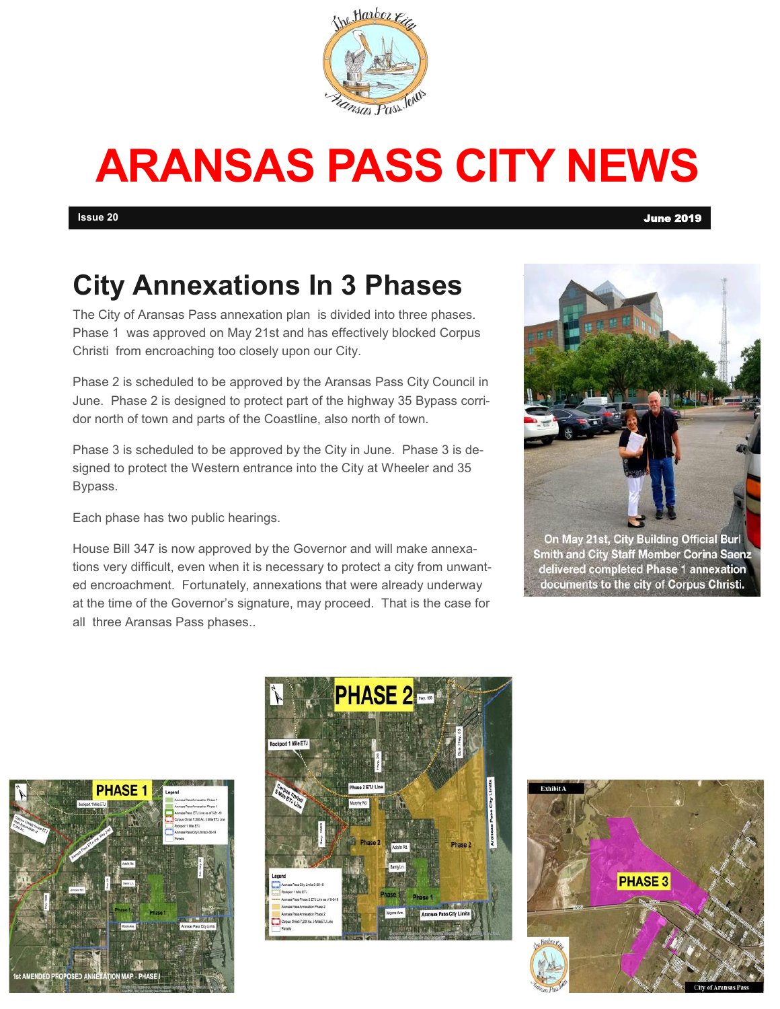

## **ARANSAS PASS CITY NEWS**

### **City Annexations In 3 Phases**

The City of Aransas Pass annexation plan is divided into three phases. Phase 1 was approved on May 21st and has effectively blocked Corpus Christi from encroaching too closely upon our City.

Phase 2 is scheduled to be approved by the Aransas Pass City Council in June. Phase 2 is designed to protect part of the highway 35 Bypass corridor north of town and parts of the Coastline, also north of town.

Phase 3 is scheduled to be approved by the City in June. Phase 3 is designed to protect the Western entrance into the City at Wheeler and 35 Bypass.

Each phase has two public hearings.

House Bill 347 is now approved by the Governor and will make annexations very difficult, even when it is necessary to protect a city from unwanted encroachment. Fortunately, annexations that were already underway at the time of the Governor's signature, may proceed. That is the case for all three Aransas Pass phases..



Smith and City Staff Member Corina Saenz delivered completed Phase 1 annexation documents to the city of Corpus Christi.





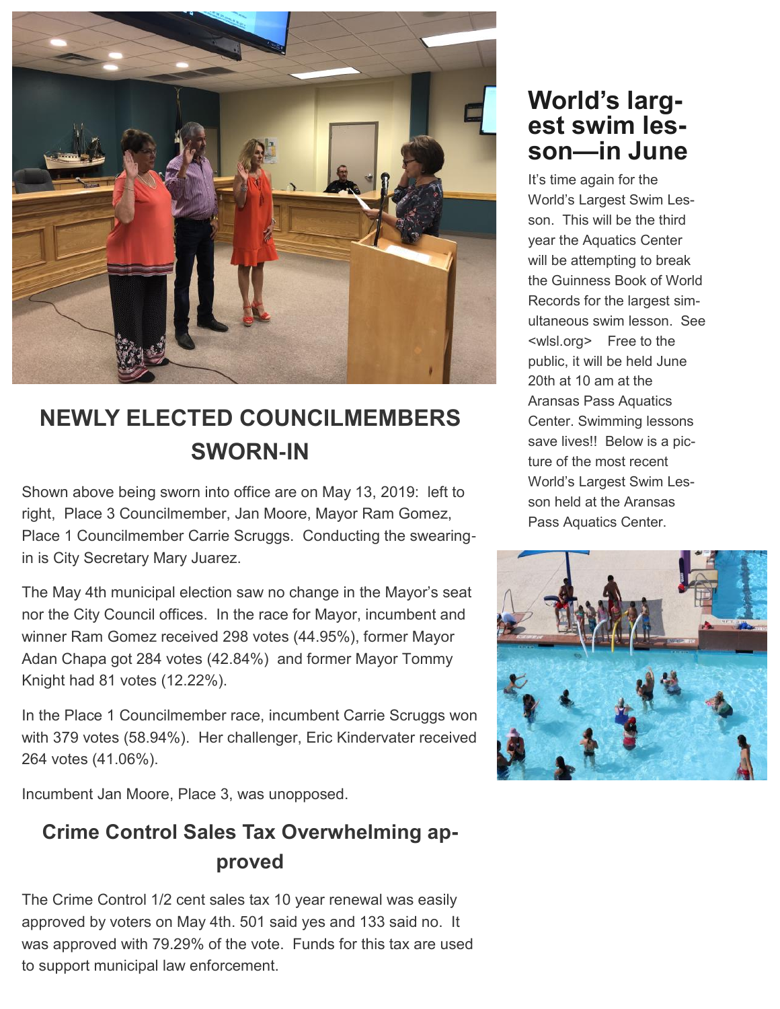

### **NEWLY ELECTED COUNCILMEMBERS SWORN-IN**

Shown above being sworn into office are on May 13, 2019: left to right, Place 3 Councilmember, Jan Moore, Mayor Ram Gomez, Place 1 Councilmember Carrie Scruggs. Conducting the swearingin is City Secretary Mary Juarez.

The May 4th municipal election saw no change in the Mayor's seat nor the City Council offices. In the race for Mayor, incumbent and winner Ram Gomez received 298 votes (44.95%), former Mayor Adan Chapa got 284 votes (42.84%) and former Mayor Tommy Knight had 81 votes (12.22%).

In the Place 1 Councilmember race, incumbent Carrie Scruggs won with 379 votes (58.94%). Her challenger, Eric Kindervater received 264 votes (41.06%).

Incumbent Jan Moore, Place 3, was unopposed.

#### **Crime Control Sales Tax Overwhelming approved**

The Crime Control 1/2 cent sales tax 10 year renewal was easily approved by voters on May 4th. 501 said yes and 133 said no. It was approved with 79.29% of the vote. Funds for this tax are used to support municipal law enforcement.

#### **World's largest swim lesson—in June**

It's time again for the World's Largest Swim Lesson. This will be the third year the Aquatics Center will be attempting to break the Guinness Book of World Records for the largest simultaneous swim lesson. See <wlsl.org> Free to the public, it will be held June 20th at 10 am at the Aransas Pass Aquatics Center. Swimming lessons save lives!! Below is a picture of the most recent World's Largest Swim Lesson held at the Aransas Pass Aquatics Center.

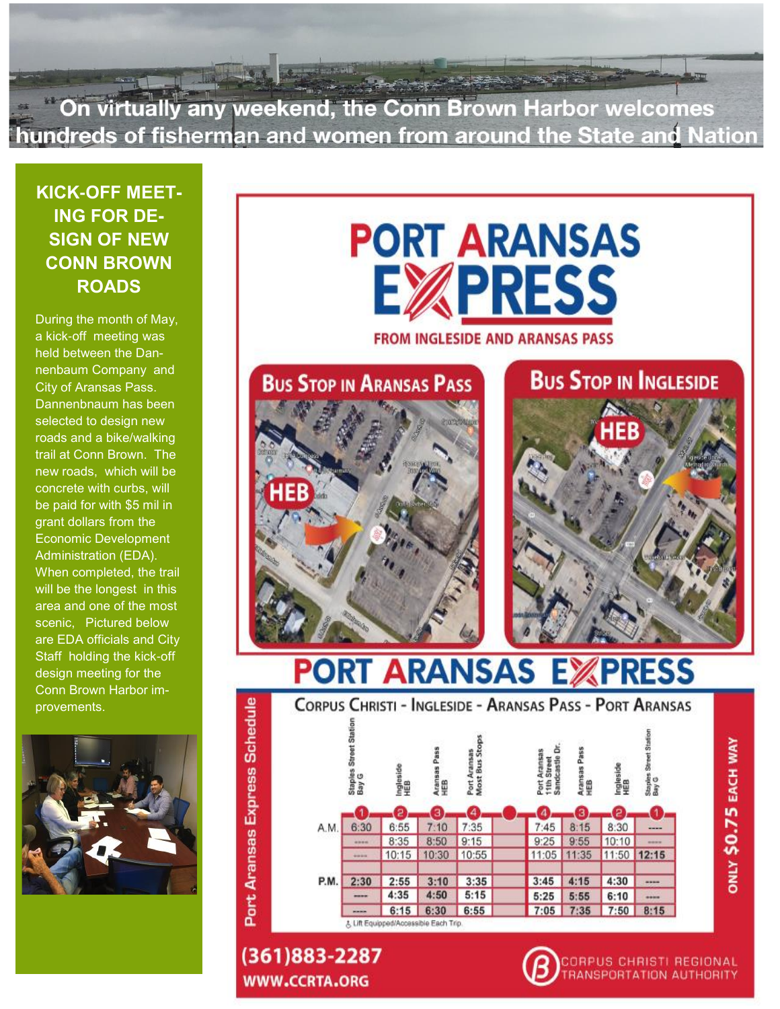On virtually any weekend, the Conn Brown Harbor welcomes hundreds of fisherman and women from around the State and Nation

**KICK-OFF MEET-ING FOR DE-SIGN OF NEW CONN BROWN ROADS**

During the month of May, a kick-off meeting was held between the Dannenbaum Company and City of Aransas Pass. Dannenbnaum has been selected to design new roads and a bike/walking trail at Conn Brown. The new roads, which will be concrete with curbs, will be paid for with \$5 mil in grant dollars from the Economic Development Administration (EDA). When completed, the trail will be the longest in this area and one of the most scenic, Pictured below are EDA officials and City Staff holding the kick-off design meeting for the Conn Brown Harbor improvements.



# **PORT ARANSAS PRESS**

**FROM INGLESIDE AND ARANSAS PASS** 



**PORT ARANSAS EXI PRESS** 



(361)883-2287 **WWW.CCRTA.ORG** 

Port Aransas Express Schedule



ANSPORTATION AUTHORITY